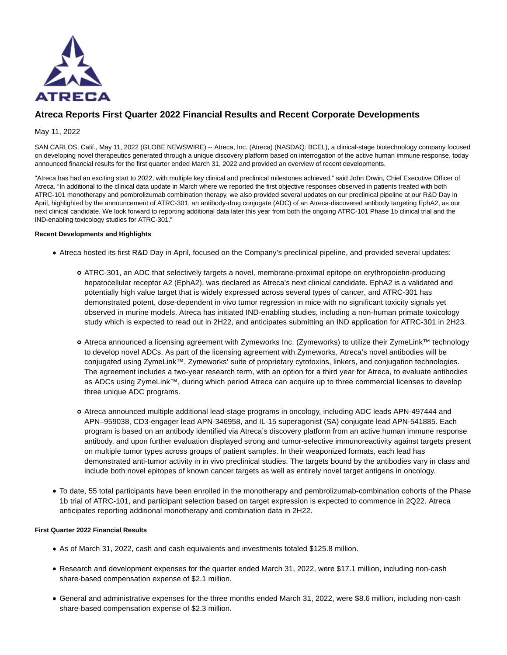

# **Atreca Reports First Quarter 2022 Financial Results and Recent Corporate Developments**

## May 11, 2022

SAN CARLOS, Calif., May 11, 2022 (GLOBE NEWSWIRE) -- Atreca, Inc. (Atreca) (NASDAQ: BCEL), a clinical-stage biotechnology company focused on developing novel therapeutics generated through a unique discovery platform based on interrogation of the active human immune response, today announced financial results for the first quarter ended March 31, 2022 and provided an overview of recent developments.

"Atreca has had an exciting start to 2022, with multiple key clinical and preclinical milestones achieved," said John Orwin, Chief Executive Officer of Atreca. "In additional to the clinical data update in March where we reported the first objective responses observed in patients treated with both ATRC-101 monotherapy and pembrolizumab combination therapy, we also provided several updates on our preclinical pipeline at our R&D Day in April, highlighted by the announcement of ATRC-301, an antibody-drug conjugate (ADC) of an Atreca-discovered antibody targeting EphA2, as our next clinical candidate. We look forward to reporting additional data later this year from both the ongoing ATRC-101 Phase 1b clinical trial and the IND-enabling toxicology studies for ATRC-301."

### **Recent Developments and Highlights**

- Atreca hosted its first R&D Day in April, focused on the Company's preclinical pipeline, and provided several updates:
	- ATRC-301, an ADC that selectively targets a novel, membrane-proximal epitope on erythropoietin-producing hepatocellular receptor A2 (EphA2), was declared as Atreca's next clinical candidate. EphA2 is a validated and potentially high value target that is widely expressed across several types of cancer, and ATRC-301 has demonstrated potent, dose-dependent in vivo tumor regression in mice with no significant toxicity signals yet observed in murine models. Atreca has initiated IND-enabling studies, including a non-human primate toxicology study which is expected to read out in 2H22, and anticipates submitting an IND application for ATRC-301 in 2H23.
	- Atreca announced a licensing agreement with Zymeworks Inc. (Zymeworks) to utilize their ZymeLink™ technology to develop novel ADCs. As part of the licensing agreement with Zymeworks, Atreca's novel antibodies will be conjugated using ZymeLink™, Zymeworks' suite of proprietary cytotoxins, linkers, and conjugation technologies. The agreement includes a two-year research term, with an option for a third year for Atreca, to evaluate antibodies as ADCs using ZymeLink™, during which period Atreca can acquire up to three commercial licenses to develop three unique ADC programs.
	- Atreca announced multiple additional lead-stage programs in oncology, including ADC leads APN-497444 and APN–959038, CD3-engager lead APN-346958, and IL-15 superagonist (SA) conjugate lead APN-541885. Each program is based on an antibody identified via Atreca's discovery platform from an active human immune response antibody, and upon further evaluation displayed strong and tumor-selective immunoreactivity against targets present on multiple tumor types across groups of patient samples. In their weaponized formats, each lead has demonstrated anti-tumor activity in in vivo preclinical studies. The targets bound by the antibodies vary in class and include both novel epitopes of known cancer targets as well as entirely novel target antigens in oncology.
- To date, 55 total participants have been enrolled in the monotherapy and pembrolizumab-combination cohorts of the Phase 1b trial of ATRC-101, and participant selection based on target expression is expected to commence in 2Q22. Atreca anticipates reporting additional monotherapy and combination data in 2H22.

## **First Quarter 2022 Financial Results**

- As of March 31, 2022, cash and cash equivalents and investments totaled \$125.8 million.
- Research and development expenses for the quarter ended March 31, 2022, were \$17.1 million, including non-cash share-based compensation expense of \$2.1 million.
- General and administrative expenses for the three months ended March 31, 2022, were \$8.6 million, including non-cash share-based compensation expense of \$2.3 million.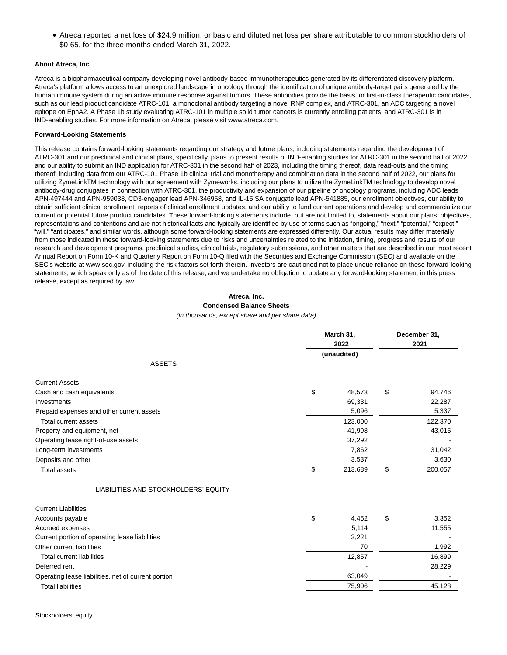Atreca reported a net loss of \$24.9 million, or basic and diluted net loss per share attributable to common stockholders of \$0.65, for the three months ended March 31, 2022.

#### **About Atreca, Inc.**

Atreca is a biopharmaceutical company developing novel antibody-based immunotherapeutics generated by its differentiated discovery platform. Atreca's platform allows access to an unexplored landscape in oncology through the identification of unique antibody-target pairs generated by the human immune system during an active immune response against tumors. These antibodies provide the basis for first-in-class therapeutic candidates, such as our lead product candidate ATRC-101, a monoclonal antibody targeting a novel RNP complex, and ATRC-301, an ADC targeting a novel epitope on EphA2. A Phase 1b study evaluating ATRC-101 in multiple solid tumor cancers is currently enrolling patients, and ATRC-301 is in IND-enabling studies. For more information on Atreca, please visit www.atreca.com.

#### **Forward-Looking Statements**

This release contains forward-looking statements regarding our strategy and future plans, including statements regarding the development of ATRC-301 and our preclinical and clinical plans, specifically, plans to present results of IND-enabling studies for ATRC-301 in the second half of 2022 and our ability to submit an IND application for ATRC-301 in the second half of 2023, including the timing thereof, data read-outs and the timing thereof, including data from our ATRC-101 Phase 1b clinical trial and monotherapy and combination data in the second half of 2022, our plans for utilizing ZymeLinkTM technology with our agreement with Zymeworks, including our plans to utilize the ZymeLinkTM technology to develop novel antibody-drug conjugates in connection with ATRC-301, the productivity and expansion of our pipeline of oncology programs, including ADC leads APN-497444 and APN-959038, CD3-engager lead APN-346958, and IL-15 SA conjugate lead APN-541885, our enrollment objectives, our ability to obtain sufficient clinical enrollment, reports of clinical enrollment updates, and our ability to fund current operations and develop and commercialize our current or potential future product candidates. These forward-looking statements include, but are not limited to, statements about our plans, objectives, representations and contentions and are not historical facts and typically are identified by use of terms such as "ongoing," "next," "potential," "expect," "will," "anticipates," and similar words, although some forward-looking statements are expressed differently. Our actual results may differ materially from those indicated in these forward-looking statements due to risks and uncertainties related to the initiation, timing, progress and results of our research and development programs, preclinical studies, clinical trials, regulatory submissions, and other matters that are described in our most recent Annual Report on Form 10-K and Quarterly Report on Form 10-Q filed with the Securities and Exchange Commission (SEC) and available on the SEC's website at www.sec.gov, including the risk factors set forth therein. Investors are cautioned not to place undue reliance on these forward-looking statements, which speak only as of the date of this release, and we undertake no obligation to update any forward-looking statement in this press release, except as required by law.

#### **Atreca, Inc. Condensed Balance Sheets**

(in thousands, except share and per share data)

|                                                     | March 31,<br>2022 |             | December 31,<br>2021 |         |
|-----------------------------------------------------|-------------------|-------------|----------------------|---------|
|                                                     |                   | (unaudited) |                      |         |
| <b>ASSETS</b>                                       |                   |             |                      |         |
| <b>Current Assets</b>                               |                   |             |                      |         |
| Cash and cash equivalents                           | \$                | 48,573      | \$                   | 94,746  |
| Investments                                         |                   | 69,331      |                      | 22,287  |
| Prepaid expenses and other current assets           |                   | 5,096       |                      | 5,337   |
| Total current assets                                |                   | 123,000     |                      | 122,370 |
| Property and equipment, net                         |                   | 41,998      |                      | 43,015  |
| Operating lease right-of-use assets                 |                   | 37,292      |                      |         |
| Long-term investments                               |                   | 7,862       |                      | 31,042  |
| Deposits and other                                  |                   | 3,537       |                      | 3,630   |
| <b>Total assets</b>                                 | \$                | 213,689     | \$                   | 200,057 |
| LIABILITIES AND STOCKHOLDERS' EQUITY                |                   |             |                      |         |
| <b>Current Liabilities</b>                          |                   |             |                      |         |
| Accounts payable                                    | \$                | 4,452       | \$                   | 3,352   |
| <b>Accrued expenses</b>                             |                   | 5,114       |                      | 11,555  |
| Current portion of operating lease liabilities      |                   | 3,221       |                      |         |
| Other current liabilities                           |                   | 70          |                      | 1,992   |
| <b>Total current liabilities</b>                    |                   | 12,857      |                      | 16,899  |
| Deferred rent                                       |                   |             |                      | 28,229  |
| Operating lease liabilities, net of current portion |                   | 63,049      |                      |         |
| <b>Total liabilities</b>                            |                   | 75,906      |                      | 45,128  |
|                                                     |                   |             |                      |         |